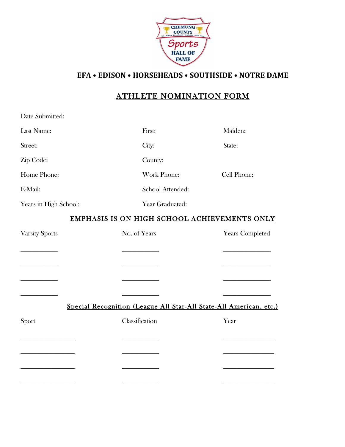

**EFA** • EDISON • HORSEHEADS • SOUTHSIDE • NOTRE DAME

## ATHLETE NOMINATION FORM

| Date Submitted:                                                    |                                                 |                                                          |  |  |  |  |
|--------------------------------------------------------------------|-------------------------------------------------|----------------------------------------------------------|--|--|--|--|
| Last Name:                                                         | First:                                          | Maiden:                                                  |  |  |  |  |
| Street:                                                            | City:                                           | State:                                                   |  |  |  |  |
| Zip Code:                                                          | County:                                         |                                                          |  |  |  |  |
| Home Phone:                                                        | Work Phone:                                     | Cell Phone:                                              |  |  |  |  |
| E-Mail:                                                            | School Attended:                                |                                                          |  |  |  |  |
| Years in High School:                                              | Year Graduated:                                 |                                                          |  |  |  |  |
| EMPHASIS IS ON HIGH SCHOOL ACHIEVEMENTS ONLY                       |                                                 |                                                          |  |  |  |  |
| <b>Varsity Sports</b>                                              | No. of Years                                    | <b>Years Completed</b>                                   |  |  |  |  |
|                                                                    |                                                 |                                                          |  |  |  |  |
|                                                                    | <u> 1989 - Johann Barnett, fransk politiker</u> | <u> 1980 - Johann Stoff, mars andrew Maria and Stoff</u> |  |  |  |  |
|                                                                    |                                                 |                                                          |  |  |  |  |
|                                                                    |                                                 |                                                          |  |  |  |  |
| Special Recognition (League All Star-All State-All American, etc.) |                                                 |                                                          |  |  |  |  |
| Sport                                                              | Classification                                  | Year                                                     |  |  |  |  |
|                                                                    |                                                 |                                                          |  |  |  |  |
|                                                                    |                                                 |                                                          |  |  |  |  |
|                                                                    |                                                 |                                                          |  |  |  |  |
|                                                                    |                                                 |                                                          |  |  |  |  |